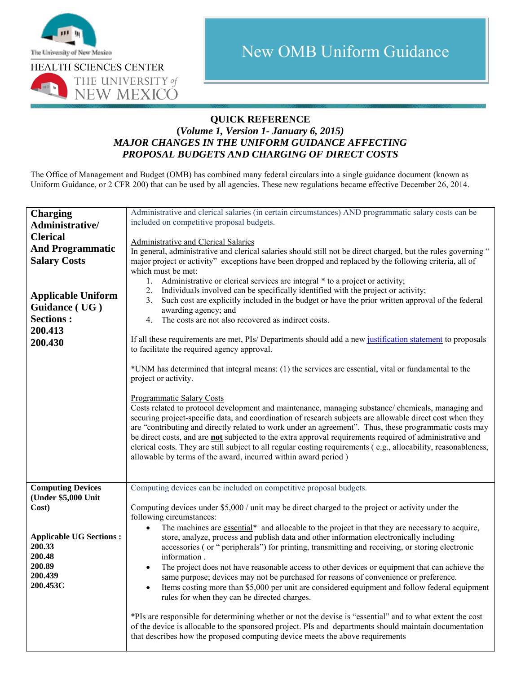

## **QUICK REFERENCE**

## **(***Volume 1, Version 1- January 6, 2015) MAJOR CHANGES IN THE UNIFORM GUIDANCE AFFECTING PROPOSAL BUDGETS AND CHARGING OF DIRECT COSTS*

The Office of Management and Budget (OMB) has combined many federal circulars into a single guidance document (known as Uniform Guidance, or 2 CFR 200) that can be used by all agencies. These new regulations became effective December 26, 2014.

| <b>Charging</b>                | Administrative and clerical salaries (in certain circumstances) AND programmatic salary costs can be                                                                                         |
|--------------------------------|----------------------------------------------------------------------------------------------------------------------------------------------------------------------------------------------|
| Administrative/                | included on competitive proposal budgets.                                                                                                                                                    |
| <b>Clerical</b>                |                                                                                                                                                                                              |
|                                | Administrative and Clerical Salaries                                                                                                                                                         |
| <b>And Programmatic</b>        | In general, administrative and clerical salaries should still not be direct charged, but the rules governing "                                                                               |
| <b>Salary Costs</b>            | major project or activity" exceptions have been dropped and replaced by the following criteria, all of                                                                                       |
|                                | which must be met:                                                                                                                                                                           |
|                                | 1. Administrative or clerical services are integral * to a project or activity;                                                                                                              |
| <b>Applicable Uniform</b>      | Individuals involved can be specifically identified with the project or activity;<br>2.<br>Such cost are explicitly included in the budget or have the prior written approval of the federal |
| Guidance (UG)                  | 3.<br>awarding agency; and                                                                                                                                                                   |
| <b>Sections:</b>               | The costs are not also recovered as indirect costs.<br>4.                                                                                                                                    |
| 200.413                        |                                                                                                                                                                                              |
| 200.430                        | If all these requirements are met, PIs/Departments should add a new justification statement to proposals<br>to facilitate the required agency approval.                                      |
|                                | *UNM has determined that integral means: (1) the services are essential, vital or fundamental to the<br>project or activity.                                                                 |
|                                | <b>Programmatic Salary Costs</b>                                                                                                                                                             |
|                                | Costs related to protocol development and maintenance, managing substance/ chemicals, managing and                                                                                           |
|                                | securing project-specific data, and coordination of research subjects are allowable direct cost when they                                                                                    |
|                                | are "contributing and directly related to work under an agreement". Thus, these programmatic costs may                                                                                       |
|                                | be direct costs, and are <b>not</b> subjected to the extra approval requirements required of administrative and                                                                              |
|                                | clerical costs. They are still subject to all regular costing requirements (e.g., allocability, reasonableness,                                                                              |
|                                | allowable by terms of the award, incurred within award period)                                                                                                                               |
|                                |                                                                                                                                                                                              |
| <b>Computing Devices</b>       | Computing devices can be included on competitive proposal budgets.                                                                                                                           |
| (Under \$5,000 Unit            |                                                                                                                                                                                              |
| Cost)                          | Computing devices under \$5,000 / unit may be direct charged to the project or activity under the                                                                                            |
|                                | following circumstances:                                                                                                                                                                     |
|                                | The machines are essential <sup>*</sup> and allocable to the project in that they are necessary to acquire,                                                                                  |
| <b>Applicable UG Sections:</b> | store, analyze, process and publish data and other information electronically including                                                                                                      |
| 200.33                         | accessories (or "peripherals") for printing, transmitting and receiving, or storing electronic                                                                                               |
| 200.48<br>200.89               | information.                                                                                                                                                                                 |
| 200.439                        | The project does not have reasonable access to other devices or equipment that can achieve the<br>$\bullet$                                                                                  |
| 200.453C                       | same purpose; devices may not be purchased for reasons of convenience or preference.                                                                                                         |
|                                | Items costing more than \$5,000 per unit are considered equipment and follow federal equipment<br>rules for when they can be directed charges.                                               |
|                                |                                                                                                                                                                                              |
|                                | *PIs are responsible for determining whether or not the devise is "essential" and to what extent the cost                                                                                    |
|                                | of the device is allocable to the sponsored project. PIs and departments should maintain documentation                                                                                       |
|                                | that describes how the proposed computing device meets the above requirements                                                                                                                |
|                                |                                                                                                                                                                                              |